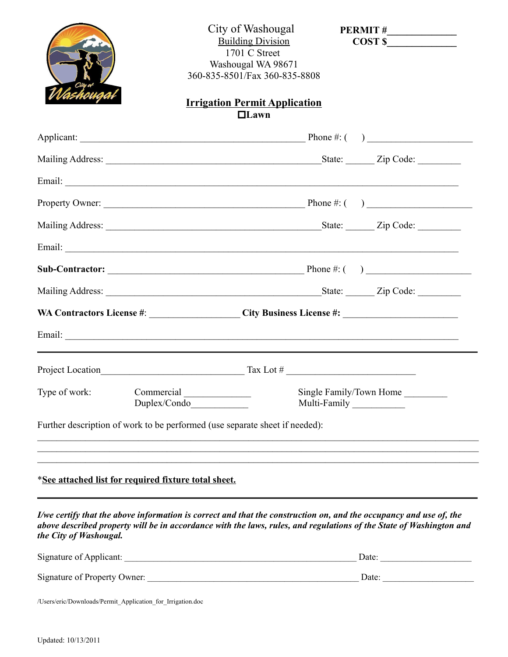|                        |                                                                             | City of Washougal<br><b>Building Division</b><br>1701 C Street<br>Washougal WA 98671<br>360-835-8501/Fax 360-835-8808<br><b>Irrigation Permit Application</b> | $\frac{1}{2}$ COST \$                                                                                                                                                                                                                     |
|------------------------|-----------------------------------------------------------------------------|---------------------------------------------------------------------------------------------------------------------------------------------------------------|-------------------------------------------------------------------------------------------------------------------------------------------------------------------------------------------------------------------------------------------|
|                        |                                                                             | $\Box$ Lawn                                                                                                                                                   |                                                                                                                                                                                                                                           |
|                        |                                                                             |                                                                                                                                                               |                                                                                                                                                                                                                                           |
|                        |                                                                             |                                                                                                                                                               |                                                                                                                                                                                                                                           |
|                        |                                                                             |                                                                                                                                                               |                                                                                                                                                                                                                                           |
|                        |                                                                             |                                                                                                                                                               |                                                                                                                                                                                                                                           |
|                        |                                                                             |                                                                                                                                                               |                                                                                                                                                                                                                                           |
|                        |                                                                             |                                                                                                                                                               |                                                                                                                                                                                                                                           |
|                        |                                                                             |                                                                                                                                                               |                                                                                                                                                                                                                                           |
|                        |                                                                             |                                                                                                                                                               |                                                                                                                                                                                                                                           |
|                        |                                                                             |                                                                                                                                                               |                                                                                                                                                                                                                                           |
|                        |                                                                             |                                                                                                                                                               |                                                                                                                                                                                                                                           |
|                        |                                                                             |                                                                                                                                                               |                                                                                                                                                                                                                                           |
|                        | Duplex/Condo                                                                |                                                                                                                                                               | Single Family/Town Home<br>Multi-Family                                                                                                                                                                                                   |
|                        | Further description of work to be performed (use separate sheet if needed): |                                                                                                                                                               |                                                                                                                                                                                                                                           |
|                        | <i>*See attached list for required fixture total sheet.</i>                 |                                                                                                                                                               |                                                                                                                                                                                                                                           |
| the City of Washougal. |                                                                             |                                                                                                                                                               | I/we certify that the above information is correct and that the construction on, and the occupancy and use of, the<br>above described property will be in accordance with the laws, rules, and regulations of the State of Washington and |
|                        |                                                                             |                                                                                                                                                               | Date:                                                                                                                                                                                                                                     |
|                        |                                                                             |                                                                                                                                                               |                                                                                                                                                                                                                                           |
|                        | /Users/eric/Downloads/Permit_Application_for_Irrigation.doc                 |                                                                                                                                                               |                                                                                                                                                                                                                                           |